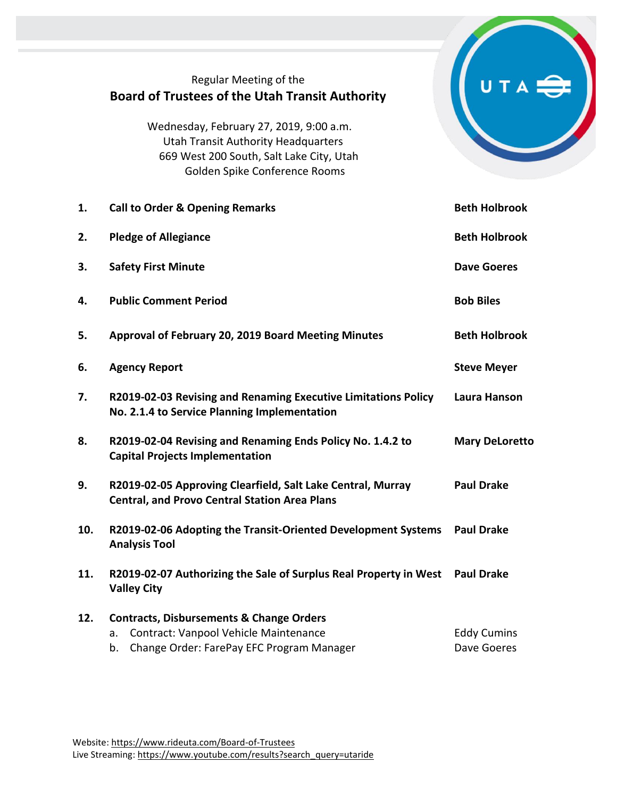## Regular Meeting of the **Board of Trustees of the Utah Transit Authority**

UTA<sup>S</sup>

Wednesday, February 27, 2019, 9:00 a.m. Utah Transit Authority Headquarters 669 West 200 South, Salt Lake City, Utah Golden Spike Conference Rooms

| 1.  | <b>Call to Order &amp; Opening Remarks</b>                                                                          | <b>Beth Holbrook</b>  |
|-----|---------------------------------------------------------------------------------------------------------------------|-----------------------|
| 2.  | <b>Pledge of Allegiance</b>                                                                                         | <b>Beth Holbrook</b>  |
| 3.  | <b>Safety First Minute</b>                                                                                          | <b>Dave Goeres</b>    |
| 4.  | <b>Public Comment Period</b>                                                                                        | <b>Bob Biles</b>      |
| 5.  | Approval of February 20, 2019 Board Meeting Minutes                                                                 | <b>Beth Holbrook</b>  |
| 6.  | <b>Agency Report</b>                                                                                                | <b>Steve Meyer</b>    |
| 7.  | R2019-02-03 Revising and Renaming Executive Limitations Policy<br>No. 2.1.4 to Service Planning Implementation      | <b>Laura Hanson</b>   |
| 8.  | R2019-02-04 Revising and Renaming Ends Policy No. 1.4.2 to<br><b>Capital Projects Implementation</b>                | <b>Mary DeLoretto</b> |
| 9.  | R2019-02-05 Approving Clearfield, Salt Lake Central, Murray<br><b>Central, and Provo Central Station Area Plans</b> | <b>Paul Drake</b>     |
| 10. | R2019-02-06 Adopting the Transit-Oriented Development Systems<br><b>Analysis Tool</b>                               | <b>Paul Drake</b>     |
| 11. | R2019-02-07 Authorizing the Sale of Surplus Real Property in West<br><b>Valley City</b>                             | <b>Paul Drake</b>     |
| 12. | <b>Contracts, Disbursements &amp; Change Orders</b><br>Contract: Vanpool Vehicle Maintenance<br>a.                  | <b>Eddy Cumins</b>    |
|     | Change Order: FarePay EFC Program Manager<br>b.                                                                     | Dave Goeres           |